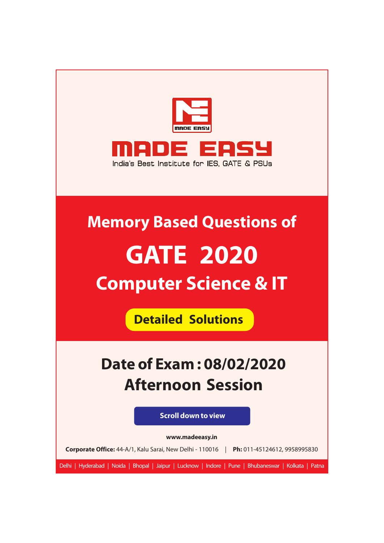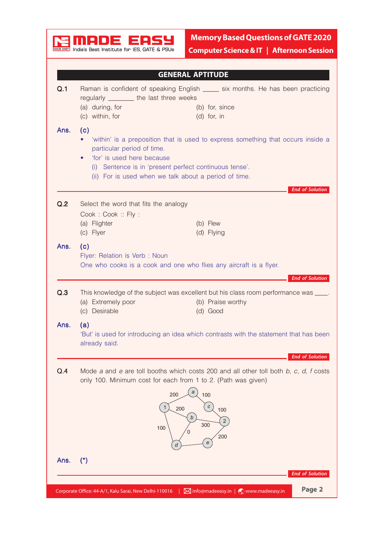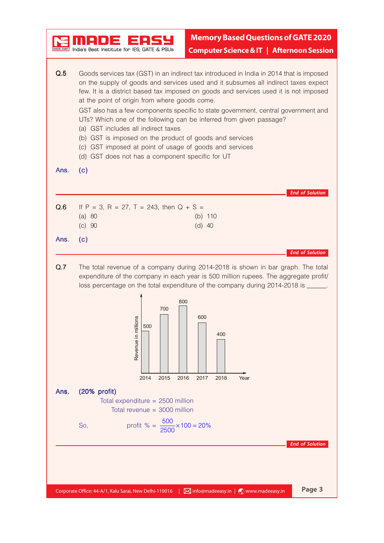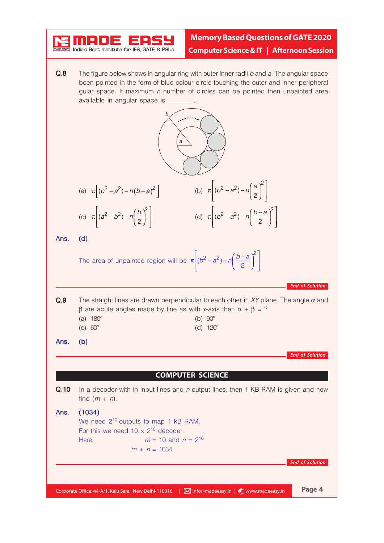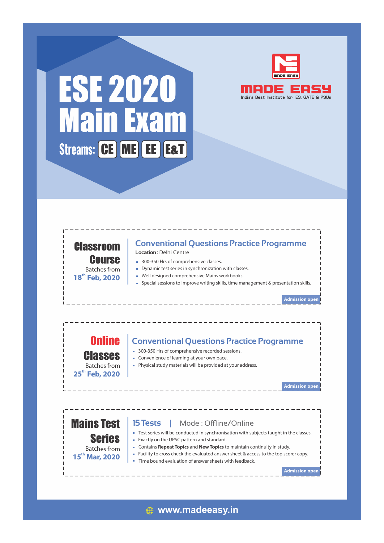

# ESE 2020 India's Best Institute for IES, GATE & PSUs Main Exam Streams: CE ME EE E&T



**th 18 Feb, 2020**

### **Conventional Questions Practice Programme**

**Location :** Delhi Centre

- 300-350 Hrs of comprehensive classes.
- Dynamic test series in synchronization with classes.
- Well designed comprehensive Mains workbooks.
- Special sessions to improve writing skills, time management & presentation skills.

**Admission open**

### Online **Conventional Questions Practice Programme**

- 300-350 Hrs of comprehensive recorded sessions.
- **Convenience of learning at your own pace.**
- Physical study materials will be provided at your address.

**Admission open**

**Admission open**

### Mains Test Series Batches from

Classes Batches from **th 25 Feb, 2020**

### **th 15 Mar, 2020**

- **Exactly on the UPSC pattern and standard.** Contains **Repeat Topics** and **New Topics** to maintain continuity in study.
- Facility to cross check the evaluated answer sheet & access to the top scorer copy.

Test series will be conducted in synchronisation with subjects taught in the classes.

Time bound evaluation of answer sheets with feedback

**15 Tests | Mode: Offline/Online** 

**www.madeeasy.in**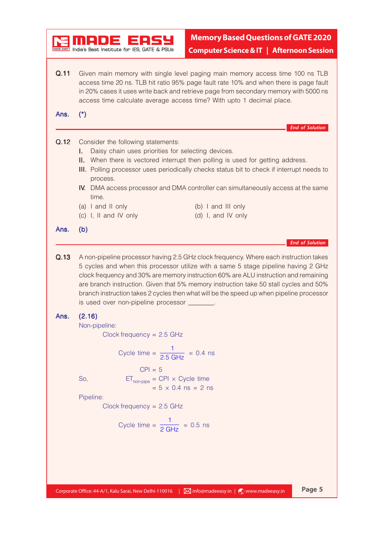|      | India's Best Institute for IES. GATE & PSUs              |                                                                                                                                                                                                                                                                                                                                         |                        |
|------|----------------------------------------------------------|-----------------------------------------------------------------------------------------------------------------------------------------------------------------------------------------------------------------------------------------------------------------------------------------------------------------------------------------|------------------------|
|      |                                                          | <b>Computer Science &amp; IT   Afternoon Session</b>                                                                                                                                                                                                                                                                                    |                        |
| Q.11 |                                                          | Given main memory with single level paging main memory access time 100 ns TLB<br>access time 20 ns. TLB hit ratio 95% page fault rate 10% and when there is page fault<br>in 20% cases it uses write back and retrieve page from secondary memory with 5000 ns<br>access time calculate average access time? With upto 1 decimal place. |                        |
| Ans. | $(*)$                                                    |                                                                                                                                                                                                                                                                                                                                         |                        |
|      |                                                          |                                                                                                                                                                                                                                                                                                                                         | <b>End of Solution</b> |
| Q.12 | Consider the following statements:                       |                                                                                                                                                                                                                                                                                                                                         |                        |
|      | Daisy chain uses priorities for selecting devices.<br>I. | II. When there is vectored interrupt then polling is used for getting address.                                                                                                                                                                                                                                                          |                        |
|      | process.                                                 | III. Polling processor uses periodically checks status bit to check if interrupt needs to                                                                                                                                                                                                                                               |                        |
|      | time.                                                    | <b>IV.</b> DMA access processor and DMA controller can simultaneously access at the same                                                                                                                                                                                                                                                |                        |
|      | (a) I and II only                                        | (b) I and III only                                                                                                                                                                                                                                                                                                                      |                        |
|      | (c) I, II and IV only                                    | (d) I, and IV only                                                                                                                                                                                                                                                                                                                      |                        |
| Ans. | (b)                                                      |                                                                                                                                                                                                                                                                                                                                         |                        |
|      |                                                          |                                                                                                                                                                                                                                                                                                                                         |                        |
| Q.13 |                                                          | A non-pipeline processor having 2.5 GHz clock frequency. Where each instruction takes<br>5 cycles and when this processor utilize with a same 5 stage pipeline having 2 GHz<br>clock frequency and 30% are memory instruction 60% are ALU instruction and remaining                                                                     | <b>End of Solution</b> |
|      | is used over non-pipeline processor _______.             | are branch instruction. Given that 5% memory instruction take 50 stall cycles and 50%<br>branch instruction takes 2 cycles then what will be the speed up when pipeline processor                                                                                                                                                       |                        |
| Ans. | (2.16)                                                   |                                                                                                                                                                                                                                                                                                                                         |                        |
|      | Non-pipeline:                                            |                                                                                                                                                                                                                                                                                                                                         |                        |
|      | Clock frequency = $2.5$ GHz                              |                                                                                                                                                                                                                                                                                                                                         |                        |
|      | Cycle time = $\frac{1}{2.5 \text{ GHz}}$ = 0.4 ns        |                                                                                                                                                                                                                                                                                                                                         |                        |
|      | $CPI = 5$                                                |                                                                                                                                                                                                                                                                                                                                         |                        |
|      | $ET_{non-pipe} = CPI \times Cycle$ time<br>So,           |                                                                                                                                                                                                                                                                                                                                         |                        |
|      | Pipeline:                                                | $= 5 \times 0.4$ ns = 2 ns                                                                                                                                                                                                                                                                                                              |                        |
|      | $Clock frequency = 2.5 GHz$                              |                                                                                                                                                                                                                                                                                                                                         |                        |
|      |                                                          |                                                                                                                                                                                                                                                                                                                                         |                        |
|      | Cycle time = $\frac{1}{2 \text{ GHz}}$ = 0.5 ns          |                                                                                                                                                                                                                                                                                                                                         |                        |
|      |                                                          |                                                                                                                                                                                                                                                                                                                                         |                        |
|      |                                                          |                                                                                                                                                                                                                                                                                                                                         |                        |
|      |                                                          |                                                                                                                                                                                                                                                                                                                                         |                        |
|      |                                                          |                                                                                                                                                                                                                                                                                                                                         |                        |

r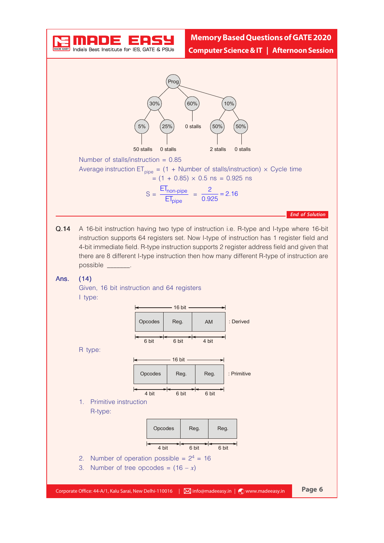

Q.14 A 16-bit instruction having two type of instruction i.e. R-type and I-type where 16-bit instruction supports 64 registers set. Now I-type of instruction has 1 register field and 4-bit immediate field. R-type instruction supports 2 register address field and given that there are 8 different I-type instruction then how many different R-type of instruction are possible \_\_\_\_\_\_\_.

#### Ans. (14)

Given, 16 bit instruction and 64 registers I type:

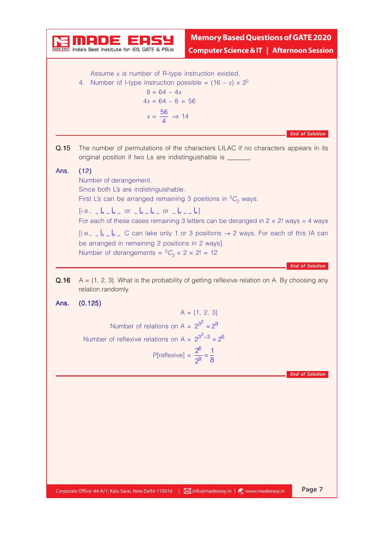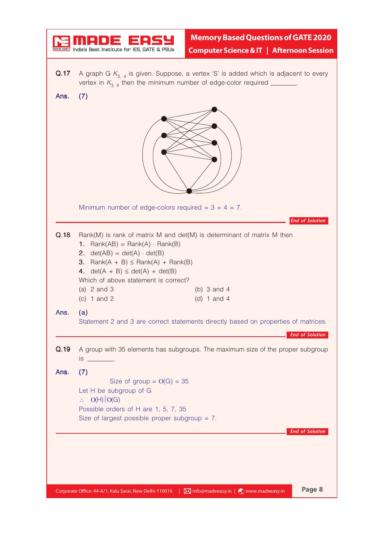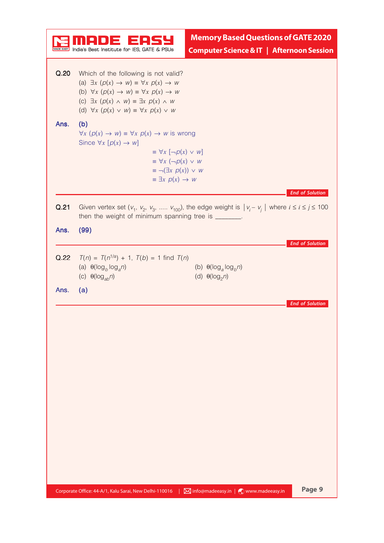|      |                                                                                                                                                                                                                                                                                                                                             | <b>Memory Based Questions of GATE 2020</b>              |                        |
|------|---------------------------------------------------------------------------------------------------------------------------------------------------------------------------------------------------------------------------------------------------------------------------------------------------------------------------------------------|---------------------------------------------------------|------------------------|
|      | India's Best Institute for IES, GATE & PSUs                                                                                                                                                                                                                                                                                                 | <b>Computer Science &amp; IT   Afternoon Session</b>    |                        |
| Q.20 | Which of the following is not valid?<br>(a) $\exists x \ (p(x) \rightarrow w) \equiv \forall x \ p(x) \rightarrow w$<br>(b) $\forall x \ (\rho(x) \rightarrow w) \equiv \forall x \ \rho(x) \rightarrow w$<br>(c) $\exists x \ (p(x) \land w) = \exists x \ p(x) \land w$<br>(d) $\forall x \ (p(x) \lor w) \equiv \forall x \ p(x) \lor w$ |                                                         |                        |
| Ans. | (b)<br>$\forall x \ (p(x) \rightarrow w) \equiv \forall x \ p(x) \rightarrow w$ is wrong<br>Since $\forall x [p(x) \rightarrow w]$<br>$\equiv \forall x [\neg p(x) \lor w]$<br>$\equiv \forall x (\neg p(x) \lor w)$                                                                                                                        |                                                         |                        |
|      | $\equiv \neg (\exists x \ p(x)) \lor w$<br>$\equiv \exists x \ p(x) \rightarrow w$                                                                                                                                                                                                                                                          |                                                         |                        |
| Q.21 | Given vertex set $(v_1, v_2, v_3, \ldots, v_{100})$ , the edge weight is $ v_i - v_j $ where $i \le i \le j \le 100$<br>then the weight of minimum spanning tree is _______.                                                                                                                                                                |                                                         | <b>End of Solution</b> |
| Ans. | (99)                                                                                                                                                                                                                                                                                                                                        |                                                         |                        |
| Q.22 | $T(n) = T(n^{1/a}) + 1$ , $T(b) = 1$ find $T(n)$<br>(a) $\theta(\log_b \log_a n)$<br>(c) $\theta(\log_{ab} n)$                                                                                                                                                                                                                              | (b) $\theta(\log_a \log_b n)$<br>(d) $\theta(\log_2 n)$ | <b>End of Solution</b> |
| Ans. | (a)                                                                                                                                                                                                                                                                                                                                         |                                                         |                        |
|      |                                                                                                                                                                                                                                                                                                                                             |                                                         | <b>End of Solution</b> |
|      |                                                                                                                                                                                                                                                                                                                                             |                                                         |                        |
|      |                                                                                                                                                                                                                                                                                                                                             |                                                         |                        |
|      |                                                                                                                                                                                                                                                                                                                                             |                                                         |                        |
|      |                                                                                                                                                                                                                                                                                                                                             |                                                         |                        |
|      |                                                                                                                                                                                                                                                                                                                                             |                                                         |                        |
|      | Corporate Office: 44-A/1, Kalu Sarai, New Delhi-110016                                                                                                                                                                                                                                                                                      | $\boxtimes$ info@madeeasy.in   $\odot$ www.madeeasy.in  | Page 9                 |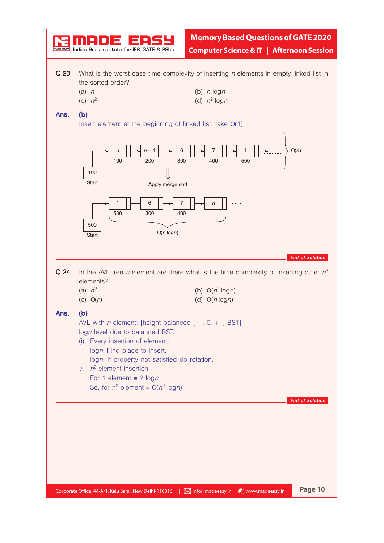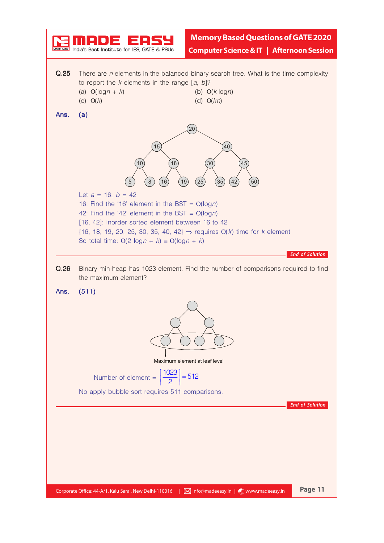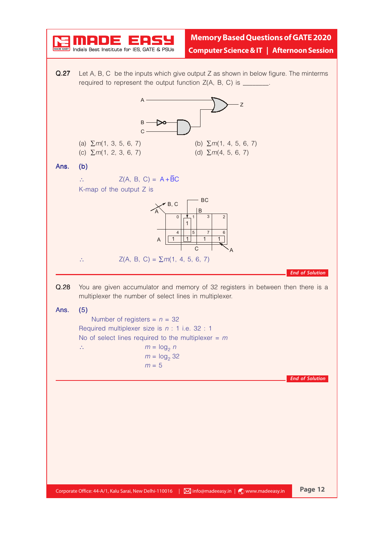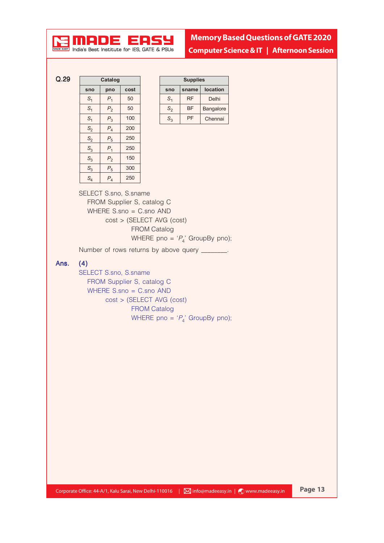

**Memory Based Questions of GATE 2020**

 $\overline{r}$  India's Best Institute for IES. GATE & PSUs

**Computer Science & IT | Afternoon Session**

Q.29 **Catalog**

| salarog         |                |      |
|-----------------|----------------|------|
| sno             | pno            | cost |
| $\mathcal{S}_1$ | $P_1$          | 50   |
| S <sub>1</sub>  | $P_{2}$        | 50   |
| $\mathcal{S}_1$ | $P_{3}$        | 100  |
| S <sub>2</sub>  | $P_4$          | 200  |
| S <sub>2</sub>  | $P_5$          | 250  |
| $S_3$           | $P_{1}$        | 250  |
| $S_3$           | P <sub>2</sub> | 150  |
| S <sub>3</sub>  | $P_5$          | 300  |
| S <sub>4</sub>  | $P_{4}$        | 250  |

| <b>Supplies</b> |           |                 |
|-----------------|-----------|-----------------|
| sno             | sname     | <b>location</b> |
| S               | <b>RF</b> | Delhi           |
| $S_2$           | BF        | Bangalore       |
| $S_{3}$         | PF        | Chennai         |

SELECT S.sno, S.sname FROM Supplier S, catalog C WHERE S.sno = C.sno AND cost > (SELECT AVG (cost) FROM Catalog WHERE pno =  $P_4$ ' GroupBy pno);

Number of rows returns by above query \_\_\_\_\_\_\_.

### Ans. (4)

SELECT S.sno, S.sname FROM Supplier S, catalog C WHERE S.sno = C.sno AND cost > (SELECT AVG (cost) FROM Catalog WHERE pno =  $P_4$ ' GroupBy pno);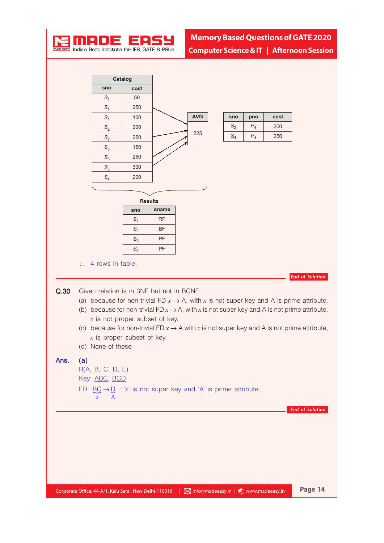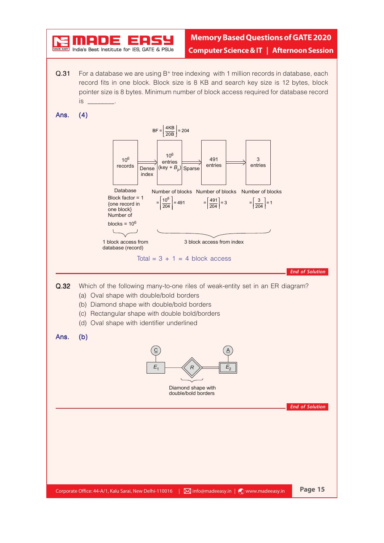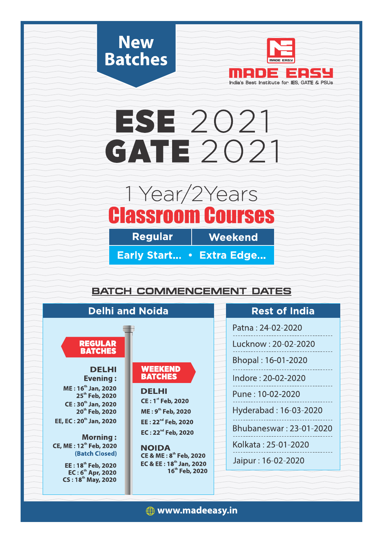



# **ESE 2021 GATE 2021**

# 1 Year/2 Years **Classroom Courses**

**Regular** 

Weekend

Early Start... • Extra Edge...

## **BATCH COMMENCEMENT DATES**

| <b>Delhi and Noida</b>                                                |                                                                  | <b>Rest of India</b>    |  |
|-----------------------------------------------------------------------|------------------------------------------------------------------|-------------------------|--|
|                                                                       |                                                                  | Patna: 24-02-2020       |  |
| <b>REGULAR</b><br><b>BATCHES</b>                                      |                                                                  | Lucknow: 20-02-2020     |  |
|                                                                       |                                                                  | Bhopal: 16-01-2020      |  |
| <b>DELHI</b><br><b>Evening:</b>                                       | <b>WEEKEND</b><br><b>BATCHES</b>                                 | Indore: 20-02-2020      |  |
| ME: 16 <sup>th</sup> Jan, 2020<br>25 <sup>th</sup> Feb, 2020          | <b>DELHI</b>                                                     | Pune: 10-02-2020        |  |
| CE: 30th Jan, 2020<br>20 <sup>th</sup> Feb, 2020                      | <b>CE: 1st Feb, 2020</b><br>ME: 9 <sup>th</sup> Feb, 2020        | Hyderabad: 16-03-2020   |  |
| EE, EC: 20 <sup>th</sup> Jan, 2020                                    | EE: 22 <sup>nd</sup> Feb, 2020<br>EC: 22 <sup>nd</sup> Feb, 2020 | Bhubaneswar: 23-01-2020 |  |
| <b>Morning:</b><br>CE, ME: 12 <sup>th</sup> Feb, 2020                 | <b>NOIDA</b>                                                     | Kolkata: 25-01-2020     |  |
| (Batch Closed)<br>EE: 18 <sup>th</sup> Feb, 2020                      | CE & ME: 8 <sup>th</sup> Feb, 2020<br>EC & EE: 18th Jan, 2020    | Jaipur: 16-02-2020      |  |
| EC: 6 <sup>th</sup> Apr, 2020<br><b>CS: 18<sup>th</sup> May, 2020</b> | 16 <sup>th</sup> Feb, 2020                                       |                         |  |
|                                                                       |                                                                  |                         |  |

**(** www.madeeasy.in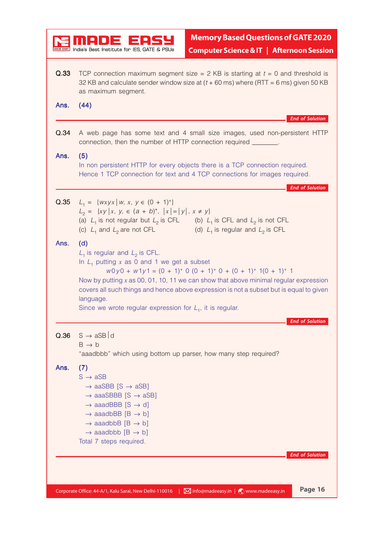|      | India's Best Institute for IES, GATE & PSUs                                                                                                                                                                                                                                                                                           | <b>Memory Based Questions of GATE 2020</b><br><b>Computer Science &amp; IT   Afternoon Session</b>                                                                                                                                                            |
|------|---------------------------------------------------------------------------------------------------------------------------------------------------------------------------------------------------------------------------------------------------------------------------------------------------------------------------------------|---------------------------------------------------------------------------------------------------------------------------------------------------------------------------------------------------------------------------------------------------------------|
| Q.33 | as maximum segment.                                                                                                                                                                                                                                                                                                                   | TCP connection maximum segment size = $2$ KB is starting at $t = 0$ and threshold is<br>32 KB and calculate sender window size at $(t + 60 \text{ ms})$ where (RTT = 6 ms) given 50 KB                                                                        |
| Ans. | (44)                                                                                                                                                                                                                                                                                                                                  | <b>End of Solution</b>                                                                                                                                                                                                                                        |
| Q.34 | connection, then the number of HTTP connection required _______.                                                                                                                                                                                                                                                                      | A web page has some text and 4 small size images, used non-persistent HTTP                                                                                                                                                                                    |
| Ans. | (5)                                                                                                                                                                                                                                                                                                                                   | In non persistent HTTP for every objects there is a TCP connection required.<br>Hence 1 TCP connection for text and 4 TCP connections for images required.                                                                                                    |
| Q.35 | $L_1 = \{wxyx \mid w, x, y \in (0 + 1)^+\}$<br>$L_2 = \{xy \mid x, y \in (a + b)^*,  x  =  y , x \neq y\}$<br>(c) $L_1$ and $L_2$ are not CFL                                                                                                                                                                                         | <b>End of Solution</b><br>(a) $L_1$ is not regular but $L_2$ is CFL (b) $L_1$ is CFL and $L_2$ is not CFL<br>(d) $L_1$ is regular and $L_2$ is CFL                                                                                                            |
| Ans. | (d)<br>$L_1$ is regular and $L_2$ is CFL.<br>In $L_1$ putting x as 0 and 1 we get a subset<br>language.<br>Since we wrote regular expression for $L_1$ , it is regular.                                                                                                                                                               | $w0y0 + w1y1 = (0 + 1)^{+} 0 (0 + 1)^{+} 0 + (0 + 1)^{+} 1(0 + 1)^{+} 1$<br>Now by putting $x$ as 00, 01, 10, 11 we can show that above minimal regular expression<br>covers all such things and hence above expression is not a subset but is equal to given |
| Q.36 | $S \rightarrow aSB$ d<br>$B \rightarrow b$<br>"aaadbbb" which using bottom up parser, how many step required?                                                                                                                                                                                                                         | of Solutio                                                                                                                                                                                                                                                    |
| Ans. | (7)<br>$S \rightarrow aSB$<br>$\rightarrow$ aaSBB [S $\rightarrow$ aSB]<br>$\rightarrow$ aaaSBBB [S $\rightarrow$ aSB]<br>$\rightarrow$ aaadBBB [S $\rightarrow$ d]<br>$\rightarrow$ aaadbBB [B $\rightarrow$ b]<br>$\rightarrow$ aaadbbB [B $\rightarrow$ b]<br>$\rightarrow$ aaadbbb [B $\rightarrow$ b]<br>Total 7 steps required. | <b>End of Solution</b>                                                                                                                                                                                                                                        |
|      |                                                                                                                                                                                                                                                                                                                                       |                                                                                                                                                                                                                                                               |
|      | Corporate Office: 44-A/1, Kalu Sarai, New Delhi-110016                                                                                                                                                                                                                                                                                | Page 16<br>$\mid$ $\blacktriangleright$ info@madeeasy.in $\mid \mathcal{C}$ www.madeeasy.in                                                                                                                                                                   |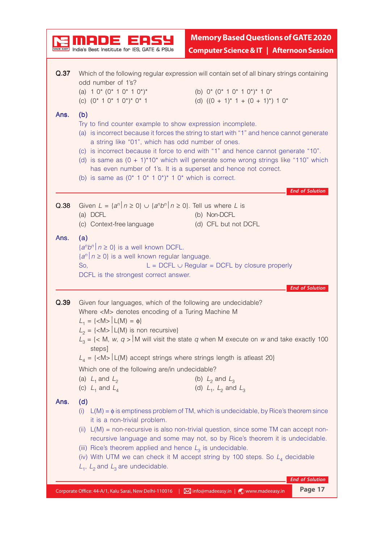| India's Best Institute for IES, GATE & PSUs<br>Which of the following regular expression will contain set of all binary strings containing<br>Q.37<br>odd number of 1's?<br>(b) $0^*$ (0 <sup>*</sup> 1 0 <sup>*</sup> 1 0 <sup>*</sup> ) <sup>*</sup> 1 0 <sup>*</sup><br>(a) $10^{*} (0^{*} 10^{*} 10^{*})^{*}$<br>(c) $(0^* 1 0^* 1 0^*)^* 0^* 1$<br>(d) $((0 + 1)^* 1 + (0 + 1)^*) 1 0^*$<br>Ans.<br>(b)<br>Try to find counter example to show expression incomplete.<br>(a) is incorrect because it forces the string to start with "1" and hence cannot generate<br>a string like "01", which has odd number of ones.<br>(c) is incorrect because it force to end with "1" and hence cannot generate "10".<br>(d) is same as $(0 + 1)^*10^*$ which will generate some wrong strings like "110" which<br>has even number of 1's. It is a superset and hence not correct.<br>(b) is same as $(0^* 1 0^* 1 0^*)^* 1 0^*$ which is correct.<br><b>End of Solution</b><br>Given $L = \{a^n   n \ge 0\} \cup \{a^n b^n   n \ge 0\}$ . Tell us where L is<br>Q.38<br>(a) DCFL<br>(b) Non-DCFL<br>(c) Context-free language<br>(d) CFL but not DCFL<br>Ans.<br>(a)<br>$\left\{a^{n}b^{n}\right\}$ $n\geq 0$ } is a well known DCFL.<br>$\{a^n \mid n \ge 0\}$ is a well known regular language.<br>$L = DCFL \cup Regular = DCFL$ by closure properly<br>So,<br>DCFL is the strongest correct answer.<br><b>End of Solution</b><br>Given four languages, which of the following are undecidable?<br>Q.39<br>Where <m> denotes encoding of a Turing Machine M<br/><math>L_1 = \{ <m> \vert L(M) = \phi \}</m></math><br/><math>L_2 = \{ <m> \}</m></math> L(M) is non recursive}<br/><math>L_3 = \{ &lt; M, w, q &gt;   M \text{ will visit the state } q \text{ when } M \text{ execute on } w \text{ and take exactly } 100 \}</math><br/>steps]<br/><math>L_4 = \{ <m> \}</m></math> <math>\sqcup</math> (M) accept strings where strings length is atleast 20}<br/>Which one of the following are/in undecidable?<br/>(b) <math>L_2</math> and <math>L_3</math><br/>(a) <math>L_1</math> and <math>L_2</math><br/>(d) <math>L_1</math>, <math>L_2</math> and <math>L_3</math><br/>(c) <math>L_1</math> and <math>L_4</math><br/>(d)<br/>Ans.<br/><math>L(M) = \phi</math> is emptiness problem of TM, which is undecidable, by Rice's theorem since<br/>(i)<br/>it is a non-trivial problem.<br/><math>L(M)</math> = non-recursive is also non-trivial question, since some TM can accept non-<br/>(ii)<br/>recursive language and some may not, so by Rice's theorem it is undecidable.<br/>(iii) Rice's theorem applied and hence <math>L_3</math> is undecidable.<br/>(iv) With UTM we can check it M accept string by 100 steps. So <math>L_4</math> decidable<br/><math>L_1</math>, <math>L_2</math> and <math>L_3</math> are undecidable.<br/><b>End of Solution</b></m> |                                                        | <b>Memory Based Questions of GATE 2020</b>           |
|----------------------------------------------------------------------------------------------------------------------------------------------------------------------------------------------------------------------------------------------------------------------------------------------------------------------------------------------------------------------------------------------------------------------------------------------------------------------------------------------------------------------------------------------------------------------------------------------------------------------------------------------------------------------------------------------------------------------------------------------------------------------------------------------------------------------------------------------------------------------------------------------------------------------------------------------------------------------------------------------------------------------------------------------------------------------------------------------------------------------------------------------------------------------------------------------------------------------------------------------------------------------------------------------------------------------------------------------------------------------------------------------------------------------------------------------------------------------------------------------------------------------------------------------------------------------------------------------------------------------------------------------------------------------------------------------------------------------------------------------------------------------------------------------------------------------------------------------------------------------------------------------------------------------------------------------------------------------------------------------------------------------------------------------------------------------------------------------------------------------------------------------------------------------------------------------------------------------------------------------------------------------------------------------------------------------------------------------------------------------------------------------------------------------------------------------------------------------------------------------------------------------------------------------------------------------------------------------------------------------------------------------------------------------------------------------------------------------------------------------------------------------------------------------------------------------------------------------------------------------------------|--------------------------------------------------------|------------------------------------------------------|
|                                                                                                                                                                                                                                                                                                                                                                                                                                                                                                                                                                                                                                                                                                                                                                                                                                                                                                                                                                                                                                                                                                                                                                                                                                                                                                                                                                                                                                                                                                                                                                                                                                                                                                                                                                                                                                                                                                                                                                                                                                                                                                                                                                                                                                                                                                                                                                                                                                                                                                                                                                                                                                                                                                                                                                                                                                                                                  |                                                        | <b>Computer Science &amp; IT   Afternoon Session</b> |
|                                                                                                                                                                                                                                                                                                                                                                                                                                                                                                                                                                                                                                                                                                                                                                                                                                                                                                                                                                                                                                                                                                                                                                                                                                                                                                                                                                                                                                                                                                                                                                                                                                                                                                                                                                                                                                                                                                                                                                                                                                                                                                                                                                                                                                                                                                                                                                                                                                                                                                                                                                                                                                                                                                                                                                                                                                                                                  |                                                        |                                                      |
|                                                                                                                                                                                                                                                                                                                                                                                                                                                                                                                                                                                                                                                                                                                                                                                                                                                                                                                                                                                                                                                                                                                                                                                                                                                                                                                                                                                                                                                                                                                                                                                                                                                                                                                                                                                                                                                                                                                                                                                                                                                                                                                                                                                                                                                                                                                                                                                                                                                                                                                                                                                                                                                                                                                                                                                                                                                                                  |                                                        |                                                      |
|                                                                                                                                                                                                                                                                                                                                                                                                                                                                                                                                                                                                                                                                                                                                                                                                                                                                                                                                                                                                                                                                                                                                                                                                                                                                                                                                                                                                                                                                                                                                                                                                                                                                                                                                                                                                                                                                                                                                                                                                                                                                                                                                                                                                                                                                                                                                                                                                                                                                                                                                                                                                                                                                                                                                                                                                                                                                                  |                                                        |                                                      |
|                                                                                                                                                                                                                                                                                                                                                                                                                                                                                                                                                                                                                                                                                                                                                                                                                                                                                                                                                                                                                                                                                                                                                                                                                                                                                                                                                                                                                                                                                                                                                                                                                                                                                                                                                                                                                                                                                                                                                                                                                                                                                                                                                                                                                                                                                                                                                                                                                                                                                                                                                                                                                                                                                                                                                                                                                                                                                  |                                                        |                                                      |
|                                                                                                                                                                                                                                                                                                                                                                                                                                                                                                                                                                                                                                                                                                                                                                                                                                                                                                                                                                                                                                                                                                                                                                                                                                                                                                                                                                                                                                                                                                                                                                                                                                                                                                                                                                                                                                                                                                                                                                                                                                                                                                                                                                                                                                                                                                                                                                                                                                                                                                                                                                                                                                                                                                                                                                                                                                                                                  |                                                        |                                                      |
|                                                                                                                                                                                                                                                                                                                                                                                                                                                                                                                                                                                                                                                                                                                                                                                                                                                                                                                                                                                                                                                                                                                                                                                                                                                                                                                                                                                                                                                                                                                                                                                                                                                                                                                                                                                                                                                                                                                                                                                                                                                                                                                                                                                                                                                                                                                                                                                                                                                                                                                                                                                                                                                                                                                                                                                                                                                                                  |                                                        |                                                      |
|                                                                                                                                                                                                                                                                                                                                                                                                                                                                                                                                                                                                                                                                                                                                                                                                                                                                                                                                                                                                                                                                                                                                                                                                                                                                                                                                                                                                                                                                                                                                                                                                                                                                                                                                                                                                                                                                                                                                                                                                                                                                                                                                                                                                                                                                                                                                                                                                                                                                                                                                                                                                                                                                                                                                                                                                                                                                                  |                                                        |                                                      |
|                                                                                                                                                                                                                                                                                                                                                                                                                                                                                                                                                                                                                                                                                                                                                                                                                                                                                                                                                                                                                                                                                                                                                                                                                                                                                                                                                                                                                                                                                                                                                                                                                                                                                                                                                                                                                                                                                                                                                                                                                                                                                                                                                                                                                                                                                                                                                                                                                                                                                                                                                                                                                                                                                                                                                                                                                                                                                  |                                                        |                                                      |
|                                                                                                                                                                                                                                                                                                                                                                                                                                                                                                                                                                                                                                                                                                                                                                                                                                                                                                                                                                                                                                                                                                                                                                                                                                                                                                                                                                                                                                                                                                                                                                                                                                                                                                                                                                                                                                                                                                                                                                                                                                                                                                                                                                                                                                                                                                                                                                                                                                                                                                                                                                                                                                                                                                                                                                                                                                                                                  |                                                        |                                                      |
|                                                                                                                                                                                                                                                                                                                                                                                                                                                                                                                                                                                                                                                                                                                                                                                                                                                                                                                                                                                                                                                                                                                                                                                                                                                                                                                                                                                                                                                                                                                                                                                                                                                                                                                                                                                                                                                                                                                                                                                                                                                                                                                                                                                                                                                                                                                                                                                                                                                                                                                                                                                                                                                                                                                                                                                                                                                                                  |                                                        |                                                      |
|                                                                                                                                                                                                                                                                                                                                                                                                                                                                                                                                                                                                                                                                                                                                                                                                                                                                                                                                                                                                                                                                                                                                                                                                                                                                                                                                                                                                                                                                                                                                                                                                                                                                                                                                                                                                                                                                                                                                                                                                                                                                                                                                                                                                                                                                                                                                                                                                                                                                                                                                                                                                                                                                                                                                                                                                                                                                                  |                                                        |                                                      |
| Minfo@madeeasy.in   @ www.madeeasy.in                                                                                                                                                                                                                                                                                                                                                                                                                                                                                                                                                                                                                                                                                                                                                                                                                                                                                                                                                                                                                                                                                                                                                                                                                                                                                                                                                                                                                                                                                                                                                                                                                                                                                                                                                                                                                                                                                                                                                                                                                                                                                                                                                                                                                                                                                                                                                                                                                                                                                                                                                                                                                                                                                                                                                                                                                                            | Corporate Office: 44-A/1, Kalu Sarai, New Delhi-110016 | Page 17                                              |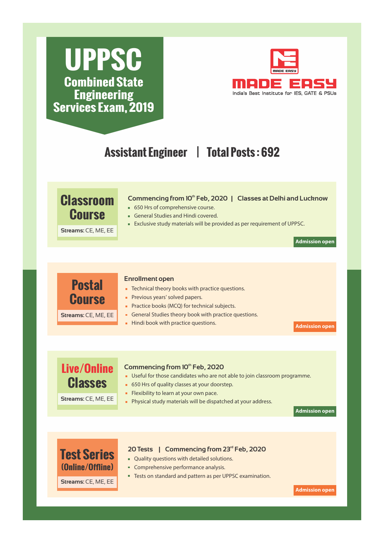# **UPPSC Combined State Engineering Services Exam, 2019**



# **Assistant Engineer | Total Posts : 692**



#### **Commencing from 10<sup>th</sup> Feb, 2020**

- Useful for those candidates who are not able to join classroom programme.
- 650 Hrs of quality classes at your doorstep.
- Flexibility to learn at your own pace.
- **Physical study materials will be dispatched at your address.**

**Admission open**

## **(Online/Offline) Test Series**

**Classes**

**Streams:** CE, ME, EE

### 20 Tests | Commencing from 23<sup>rd</sup> Feb, 2020

- **Quality questions with detailed solutions.**
- Comprehensive performance analysis.
- **Tests on standard and pattern as per UPPSC examination.**

**Streams:** CE, ME, EE

**Admission open**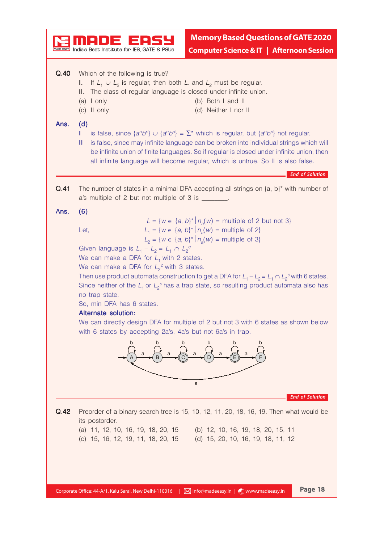|      | India's Best Institute for IES. GATE & PSUs                                                                                                                                                                                                                                                                | <b>Memory Based Questions of GATE 2020</b><br><b>Computer Science &amp; IT   Afternoon Session</b>                                                                                                                                                                                                                                                                                                                                                                                                                                |                        |
|------|------------------------------------------------------------------------------------------------------------------------------------------------------------------------------------------------------------------------------------------------------------------------------------------------------------|-----------------------------------------------------------------------------------------------------------------------------------------------------------------------------------------------------------------------------------------------------------------------------------------------------------------------------------------------------------------------------------------------------------------------------------------------------------------------------------------------------------------------------------|------------------------|
| Q.40 | Which of the following is true?<br>If $L_1 \cup L_2$ is regular, then both $L_1$ and $L_2$ must be regular.<br>L.<br>II. The class of regular language is closed under infinite union.<br>$(a)$ I only<br>(c) II only                                                                                      | (b) Both I and II<br>(d) Neither I nor II                                                                                                                                                                                                                                                                                                                                                                                                                                                                                         |                        |
| Ans. | (d)<br>Ш                                                                                                                                                                                                                                                                                                   | is false, since $\{a^n b^n\} \cup \{a^n b^n\} = \sum^*$ which is regular, but $\{a^n b^n\}$ not regular.<br>is false, since may infinite language can be broken into individual strings which will<br>be infinite union of finite languages. So if regular is closed under infinite union, then<br>all infinite language will become regular, which is untrue. So II is also false.                                                                                                                                               | <b>End of Solution</b> |
| Q.41 | The number of states in a minimal DFA accepting all strings on $\{a, b\}^*$ with number of<br>a's multiple of 2 but not multiple of 3 is _______.                                                                                                                                                          |                                                                                                                                                                                                                                                                                                                                                                                                                                                                                                                                   |                        |
| Ans. | (6)<br>Let,<br>Given language is $L_1 - L_2 = L_1 \cap L_2^c$<br>We can make a DFA for $L_1$ with 2 states.<br>We can make a DFA for $L_2^c$ with 3 states.<br>no trap state.<br>So, min DFA has 6 states.<br>Alternate solution:<br>with 6 states by accepting 2a's, 4a's but not 6a's in trap.<br>a<br>а | $L = \{w \in \{a, b\}^*   n_a(w) = \text{multiple of 2 but not 3}\}\$<br>$L_1 = \{w \in \{a, b\}^* \mid n_a(w) = \text{multiple of 2}\}\$<br>$L_2 = \{w \in \{a, b\}^* \mid n_a(w) = \text{multiple of 3}\}\$<br>Then use product automata construction to get a DFA for $L_1 - L_2 = L_1 \cap L_2^c$ with 6 states.<br>Since neither of the $L_1$ or $L_2^c$ has a trap state, so resulting product automata also has<br>We can directly design DFA for multiple of 2 but not 3 with 6 states as shown below<br>а<br>a<br>а<br>a | <b>End of Solution</b> |
| Q.42 | its postorder.<br>(a) 11, 12, 10, 16, 19, 18, 20, 15<br>(c) 15, 16, 12, 19, 11, 18, 20, 15                                                                                                                                                                                                                 | Preorder of a binary search tree is 15, 10, 12, 11, 20, 18, 16, 19. Then what would be<br>(b) 12, 10, 16, 19, 18, 20, 15, 11<br>(d) 15, 20, 10, 16, 19, 18, 11, 12                                                                                                                                                                                                                                                                                                                                                                |                        |
|      | Corporate Office: 44-A/1, Kalu Sarai, New Delhi-110016     2 info@madeeasy.in   (2) www.madeeasy.in                                                                                                                                                                                                        |                                                                                                                                                                                                                                                                                                                                                                                                                                                                                                                                   | Page 18                |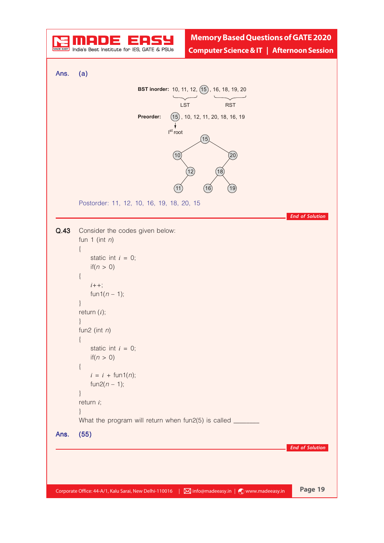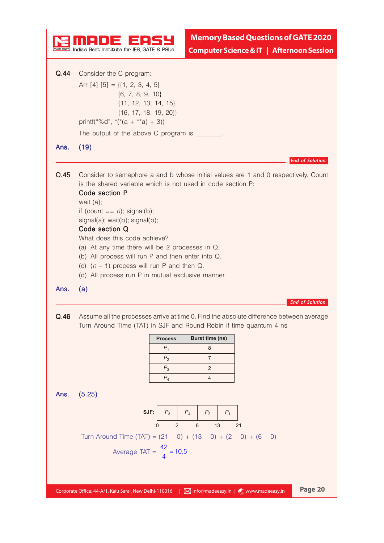|      | <b>Memory Based Questions of GATE 2020</b><br>India's Best Institute for IES, GATE & PSUs<br><b>Computer Science &amp; IT   Afternoon Session</b>                                                                                                                                                                                                                                                                                                                                                                      |
|------|------------------------------------------------------------------------------------------------------------------------------------------------------------------------------------------------------------------------------------------------------------------------------------------------------------------------------------------------------------------------------------------------------------------------------------------------------------------------------------------------------------------------|
| Q.44 | Consider the C program:<br>Arr $[4]$ $[5] = \{ \{1, 2, 3, 4, 5\}$<br>$\{6, 7, 8, 9, 10\}$<br>$\{11, 12, 13, 14, 15\}$<br>$\{16, 17, 18, 19, 20\}\$<br>printf("%d", $*(a + **a) + 3)$ )<br>The output of the above C program is _______.                                                                                                                                                                                                                                                                                |
| Ans. | (19)<br><b>End of Solution</b>                                                                                                                                                                                                                                                                                                                                                                                                                                                                                         |
| Q.45 | Consider to semaphore a and b whose initial values are 1 and 0 respectively. Count<br>is the shared variable which is not used in code section P:<br>Code section P<br>wait $(a)$ ;<br>if (count $== n$ ); signal(b);<br>signal(a); wait(b); signal(b);<br>Code section Q<br>What does this code achieve?<br>(a) At any time there will be 2 processes in Q.<br>(b) All process will run P and then enter into Q.<br>(c) $(n - 1)$ process will run P and then Q.<br>(d) All process run P in mutual exclusive manner. |
| Ans. | (a)<br><b>End of Solution</b>                                                                                                                                                                                                                                                                                                                                                                                                                                                                                          |
| Q.46 | Assume all the processes arrive at time 0. Find the absolute difference between average<br>Turn Around Time (TAT) in SJF and Round Robin if time quantum 4 ns<br>Burst time (ns)<br><b>Process</b><br>$P_1$<br>8<br>P <sub>2</sub><br>7<br>$P_3$<br>2<br>$P_4$<br>4                                                                                                                                                                                                                                                    |
| Ans. | (5.25)<br>$P_3$ $P_4$ $P_2$<br>SJF:<br>$P_1$<br>$6\phantom{1}6$<br>13<br>$\mathbf 0$<br>2<br>21<br>Turn Around Time (TAT) = $(21 - 0) + (13 - 0) + (2 - 0) + (6 - 0)$<br>Average TAT = $\frac{42}{4}$ = 10.5                                                                                                                                                                                                                                                                                                           |
|      | Page 20<br>Corporate Office: 44-A/1, Kalu Sarai, New Delhi-110016   Minfo@madeeasy.in   (C) www.madeeasy.in                                                                                                                                                                                                                                                                                                                                                                                                            |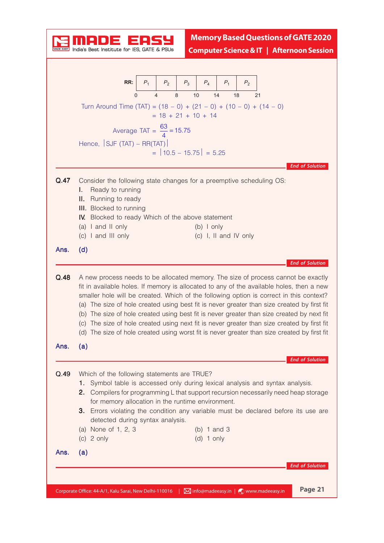